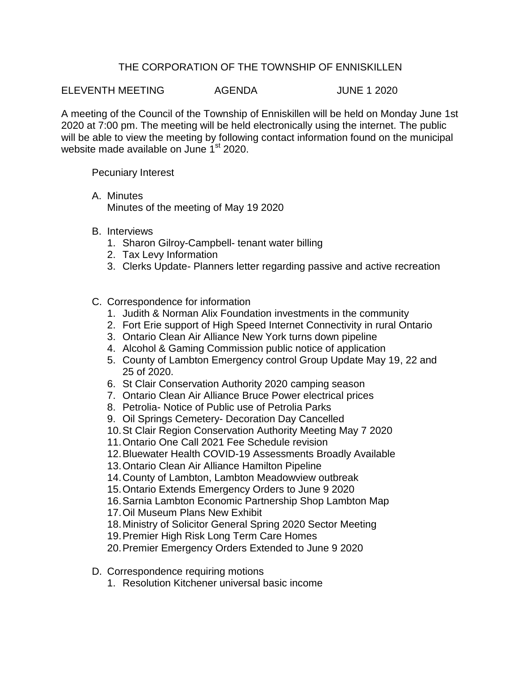## THE CORPORATION OF THE TOWNSHIP OF ENNISKILLEN

ELEVENTH MEETING AGENDA JUNE 1 2020

A meeting of the Council of the Township of Enniskillen will be held on Monday June 1st 2020 at 7:00 pm. The meeting will be held electronically using the internet. The public will be able to view the meeting by following contact information found on the municipal website made available on June 1<sup>st</sup> 2020.

Pecuniary Interest

- A. Minutes Minutes of the meeting of May 19 2020
- B. Interviews
	- 1. Sharon Gilroy-Campbell- tenant water billing
	- 2. Tax Levy Information
	- 3. Clerks Update- Planners letter regarding passive and active recreation
- C. Correspondence for information
	- 1. Judith & Norman Alix Foundation investments in the community
	- 2. Fort Erie support of High Speed Internet Connectivity in rural Ontario
	- 3. Ontario Clean Air Alliance New York turns down pipeline
	- 4. Alcohol & Gaming Commission public notice of application
	- 5. County of Lambton Emergency control Group Update May 19, 22 and 25 of 2020.
	- 6. St Clair Conservation Authority 2020 camping season
	- 7. Ontario Clean Air Alliance Bruce Power electrical prices
	- 8. Petrolia- Notice of Public use of Petrolia Parks
	- 9. Oil Springs Cemetery- Decoration Day Cancelled
	- 10.St Clair Region Conservation Authority Meeting May 7 2020
	- 11.Ontario One Call 2021 Fee Schedule revision
	- 12.Bluewater Health COVID-19 Assessments Broadly Available
	- 13.Ontario Clean Air Alliance Hamilton Pipeline
	- 14.County of Lambton, Lambton Meadowview outbreak
	- 15.Ontario Extends Emergency Orders to June 9 2020
	- 16.Sarnia Lambton Economic Partnership Shop Lambton Map
	- 17.Oil Museum Plans New Exhibit
	- 18.Ministry of Solicitor General Spring 2020 Sector Meeting
	- 19.Premier High Risk Long Term Care Homes
	- 20.Premier Emergency Orders Extended to June 9 2020
- D. Correspondence requiring motions
	- 1. Resolution Kitchener universal basic income